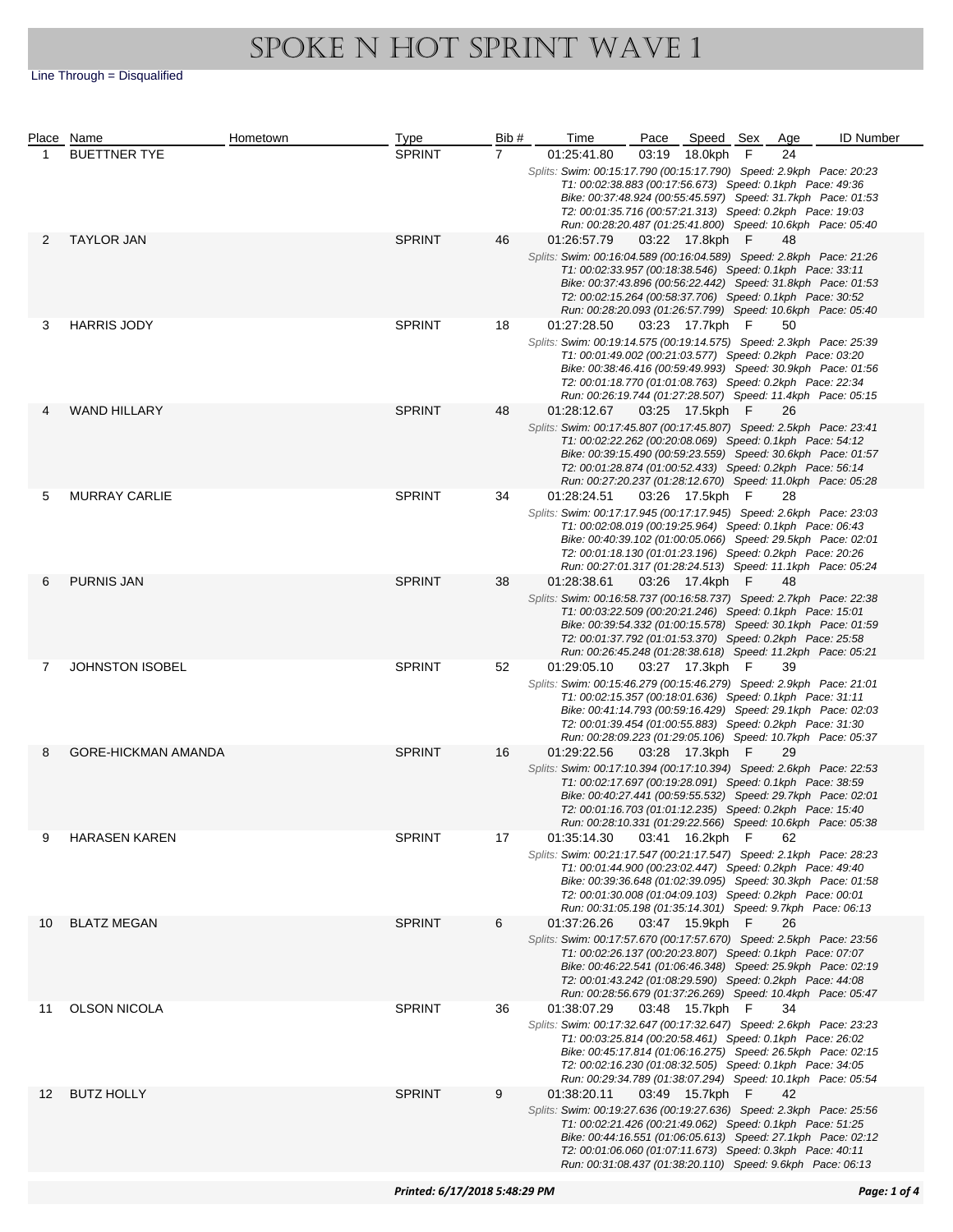|    | Place Name                 | Hometown | <b>Type</b>   | Bib#           | Time                                                                                                                                                                                                                                                                                                                                            | Pace  | Speed Sex       |     | Age | <b>ID Number</b>                                                                                                            |  |  |
|----|----------------------------|----------|---------------|----------------|-------------------------------------------------------------------------------------------------------------------------------------------------------------------------------------------------------------------------------------------------------------------------------------------------------------------------------------------------|-------|-----------------|-----|-----|-----------------------------------------------------------------------------------------------------------------------------|--|--|
| 1  | <b>BUETTNER TYE</b>        |          | <b>SPRINT</b> | $\overline{7}$ | 01:25:41.80                                                                                                                                                                                                                                                                                                                                     | 03:19 | 18.0kph         | F   | 24  |                                                                                                                             |  |  |
|    |                            |          |               |                | Splits: Swim: 00:15:17.790 (00:15:17.790) Speed: 2.9kph Pace: 20:23<br>T1: 00:02:38.883 (00:17:56.673) Speed: 0.1kph Pace: 49:36                                                                                                                                                                                                                |       |                 |     |     | Bike: 00:37:48.924 (00:55:45.597) Speed: 31.7kph Pace: 01:53                                                                |  |  |
|    |                            |          |               |                | T2: 00:01:35.716 (00:57:21.313) Speed: 0.2kph Pace: 19:03<br>Run: 00:28:20.487 (01:25:41.800) Speed: 10.6kph Pace: 05:40                                                                                                                                                                                                                        |       |                 |     |     |                                                                                                                             |  |  |
| 2  | <b>TAYLOR JAN</b>          |          | <b>SPRINT</b> | 46             | 01:26:57.79                                                                                                                                                                                                                                                                                                                                     |       |                 |     | 48  |                                                                                                                             |  |  |
|    |                            |          |               |                | 03:22 17.8kph F<br>Splits: Swim: 00:16:04.589 (00:16:04.589) Speed: 2.8kph Pace: 21:26<br>T1: 00:02:33.957 (00:18:38.546) Speed: 0.1kph Pace: 33:11<br>Bike: 00:37:43.896 (00:56:22.442) Speed: 31.8kph Pace: 01:53<br>T2: 00:02:15.264 (00:58:37.706) Speed: 0.1kph Pace: 30:52<br>Run: 00:28:20.093 (01:26:57.799) Speed: 10.6kph Pace: 05:40 |       |                 |     |     |                                                                                                                             |  |  |
| 3  | <b>HARRIS JODY</b>         |          | <b>SPRINT</b> | 18             | 01:27:28.50                                                                                                                                                                                                                                                                                                                                     |       | 03:23 17.7kph F |     | 50  |                                                                                                                             |  |  |
|    |                            |          |               |                | Splits: Swim: 00:19:14.575 (00:19:14.575) Speed: 2.3kph Pace: 25:39<br>T1: 00:01:49.002 (00:21:03.577) Speed: 0.2kph Pace: 03:20<br>Bike: 00:38:46.416 (00:59:49.993) Speed: 30.9kph Pace: 01:56<br>T2: 00:01:18.770 (01:01:08.763) Speed: 0.2kph Pace: 22:34<br>Run: 00:26:19.744 (01:27:28.507) Speed: 11.4kph Pace: 05:15                    |       |                 |     |     |                                                                                                                             |  |  |
|    | <b>WAND HILLARY</b>        |          | <b>SPRINT</b> | 48             | 01:28:12.67                                                                                                                                                                                                                                                                                                                                     |       | 03:25 17.5kph F |     | 26  |                                                                                                                             |  |  |
|    |                            |          |               |                | Splits: Swim: 00:17:45.807 (00:17:45.807) Speed: 2.5kph Pace: 23:41<br>T1: 00:02:22.262 (00:20:08.069) Speed: 0.1kph Pace: 54:12<br>T2: 00:01:28.874 (01:00:52.433) Speed: 0.2kph Pace: 56:14<br>Run: 00:27:20.237 (01:28:12.670) Speed: 11.0kph Pace: 05:28                                                                                    |       |                 |     |     | Bike: 00:39:15.490 (00:59:23.559) Speed: 30.6kph Pace: 01:57                                                                |  |  |
| 5  | <b>MURRAY CARLIE</b>       |          | <b>SPRINT</b> | 34             | 01:28:24.51                                                                                                                                                                                                                                                                                                                                     |       | 03:26 17.5kph F |     | 28  |                                                                                                                             |  |  |
|    |                            |          |               |                | Splits: Swim: 00:17:17.945 (00:17:17.945) Speed: 2.6kph Pace: 23:03<br>T1: 00:02:08.019 (00:19:25.964) Speed: 0.1kph Pace: 06:43<br>T2: 00:01:18.130 (01:01:23.196) Speed: 0.2kph Pace: 20:26<br>Run: 00:27:01.317 (01:28:24.513) Speed: 11.1kph Pace: 05:24                                                                                    |       |                 |     |     | Bike: 00:40:39.102 (01:00:05.066) Speed: 29.5kph Pace: 02:01                                                                |  |  |
| 6  | <b>PURNIS JAN</b>          |          | <b>SPRINT</b> | 38             | 01:28:38.61                                                                                                                                                                                                                                                                                                                                     |       | 03:26 17.4kph   | - F | 48  |                                                                                                                             |  |  |
|    |                            |          |               |                | Splits: Swim: 00:16:58.737 (00:16:58.737) Speed: 2.7kph Pace: 22:38<br>T1: 00:03:22.509 (00:20:21.246) Speed: 0.1kph Pace: 15:01<br>T2: 00:01:37.792 (01:01:53.370) Speed: 0.2kph Pace: 25:58<br>Run: 00:26:45.248 (01:28:38.618) Speed: 11.2kph Pace: 05:21                                                                                    |       |                 |     |     | Bike: 00:39:54.332 (01:00:15.578) Speed: 30.1kph Pace: 01:59                                                                |  |  |
| 7  | <b>JOHNSTON ISOBEL</b>     |          | <b>SPRINT</b> | 52             | 01:29:05.10                                                                                                                                                                                                                                                                                                                                     |       | 03:27 17.3kph F |     | 39  |                                                                                                                             |  |  |
|    |                            |          |               |                | Splits: Swim: 00:15:46.279 (00:15:46.279) Speed: 2.9kph Pace: 21:01<br>T1: 00:02:15.357 (00:18:01.636) Speed: 0.1kph Pace: 31:11<br>Bike: 00:41:14.793 (00:59:16.429) Speed: 29.1kph Pace: 02:03<br>T2: 00:01:39.454 (01:00:55.883) Speed: 0.2kph Pace: 31:30                                                                                   |       |                 |     |     | Run: 00:28:09.223 (01:29:05.106) Speed: 10.7kph Pace: 05:37                                                                 |  |  |
| 8  | <b>GORE-HICKMAN AMANDA</b> |          | <b>SPRINT</b> | 16             | 01:29:22.56                                                                                                                                                                                                                                                                                                                                     |       | 03:28 17.3kph   | - F | 29  |                                                                                                                             |  |  |
|    |                            |          |               |                | Splits: Swim: 00:17:10.394 (00:17:10.394) Speed: 2.6kph Pace: 22:53<br>T1: 00:02:17.697 (00:19:28.091) Speed: 0.1kph Pace: 38:59<br>T2: 00:01:16.703 (01:01:12.235) Speed: 0.2kph Pace: 15:40                                                                                                                                                   |       |                 |     |     | Bike: 00:40:27.441 (00:59:55.532) Speed: 29.7kph Pace: 02:01<br>Run: 00:28:10.331 (01:29:22.566) Speed: 10.6kph Pace: 05:38 |  |  |
| 9  | <b>HARASEN KAREN</b>       |          | <b>SPRINT</b> | 17             | 01:35:14.30                                                                                                                                                                                                                                                                                                                                     |       | 03:41 16.2kph F |     | 62  |                                                                                                                             |  |  |
|    |                            |          |               |                | Splits: Swim: 00:21:17.547 (00:21:17.547) Speed: 2.1kph Pace: 28:23<br>T1: 00:01:44.900 (00:23:02.447) Speed: 0.2kph Pace: 49:40<br>Bike: 00:39:36.648 (01:02:39.095) Speed: 30.3kph Pace: 01:58<br>T2: 00:01:30.008 (01:04:09.103) Speed: 0.2kph Pace: 00:01<br>Run: 00:31:05.198 (01:35:14.301) Speed: 9.7kph Pace: 06:13                     |       |                 |     |     |                                                                                                                             |  |  |
| 10 | <b>BLATZ MEGAN</b>         |          | <b>SPRINT</b> | 6              | 01:37:26.26                                                                                                                                                                                                                                                                                                                                     |       | 03:47 15.9kph F |     | 26  |                                                                                                                             |  |  |
|    |                            |          |               |                | Splits: Swim: 00:17:57.670 (00:17:57.670) Speed: 2.5kph Pace: 23:56<br>T1: 00:02:26.137 (00:20:23.807) Speed: 0.1kph Pace: 07:07<br>T2: 00:01:43.242 (01:08:29.590) Speed: 0.2kph Pace: 44:08                                                                                                                                                   |       |                 |     |     | Bike: 00:46:22.541 (01:06:46.348) Speed: 25.9kph Pace: 02:19<br>Run: 00:28:56.679 (01:37:26.269) Speed: 10.4kph Pace: 05:47 |  |  |
| 11 | OLSON NICOLA               |          | <b>SPRINT</b> | 36             | 01:38:07.29                                                                                                                                                                                                                                                                                                                                     |       | 03:48 15.7kph   | - F | 34  |                                                                                                                             |  |  |
|    |                            |          |               |                | Splits: Swim: 00:17:32.647 (00:17:32.647) Speed: 2.6kph Pace: 23:23<br>T1: 00:03:25.814 (00:20:58.461) Speed: 0.1kph Pace: 26:02<br>T2: 00:02:16.230 (01:08:32.505) Speed: 0.1kph Pace: 34:05                                                                                                                                                   |       |                 |     |     | Bike: 00:45:17.814 (01:06:16.275) Speed: 26.5kph Pace: 02:15<br>Run: 00:29:34.789 (01:38:07.294) Speed: 10.1kph Pace: 05:54 |  |  |
| 12 | <b>BUTZ HOLLY</b>          |          | <b>SPRINT</b> | 9              | 01:38:20.11                                                                                                                                                                                                                                                                                                                                     |       | 03:49 15.7kph F |     | 42  |                                                                                                                             |  |  |
|    |                            |          |               |                | Splits: Swim: 00:19:27.636 (00:19:27.636) Speed: 2.3kph Pace: 25:56<br>T1: 00:02:21.426 (00:21:49.062) Speed: 0.1kph Pace: 51:25<br>Bike: 00:44:16.551 (01:06:05.613) Speed: 27.1kph Pace: 02:12<br>T2: 00:01:06.060 (01:07:11.673) Speed: 0.3kph Pace: 40:11<br>Run: 00:31:08.437 (01:38:20.110) Speed: 9.6kph Pace: 06:13                     |       |                 |     |     |                                                                                                                             |  |  |
|    |                            |          |               |                |                                                                                                                                                                                                                                                                                                                                                 |       |                 |     |     |                                                                                                                             |  |  |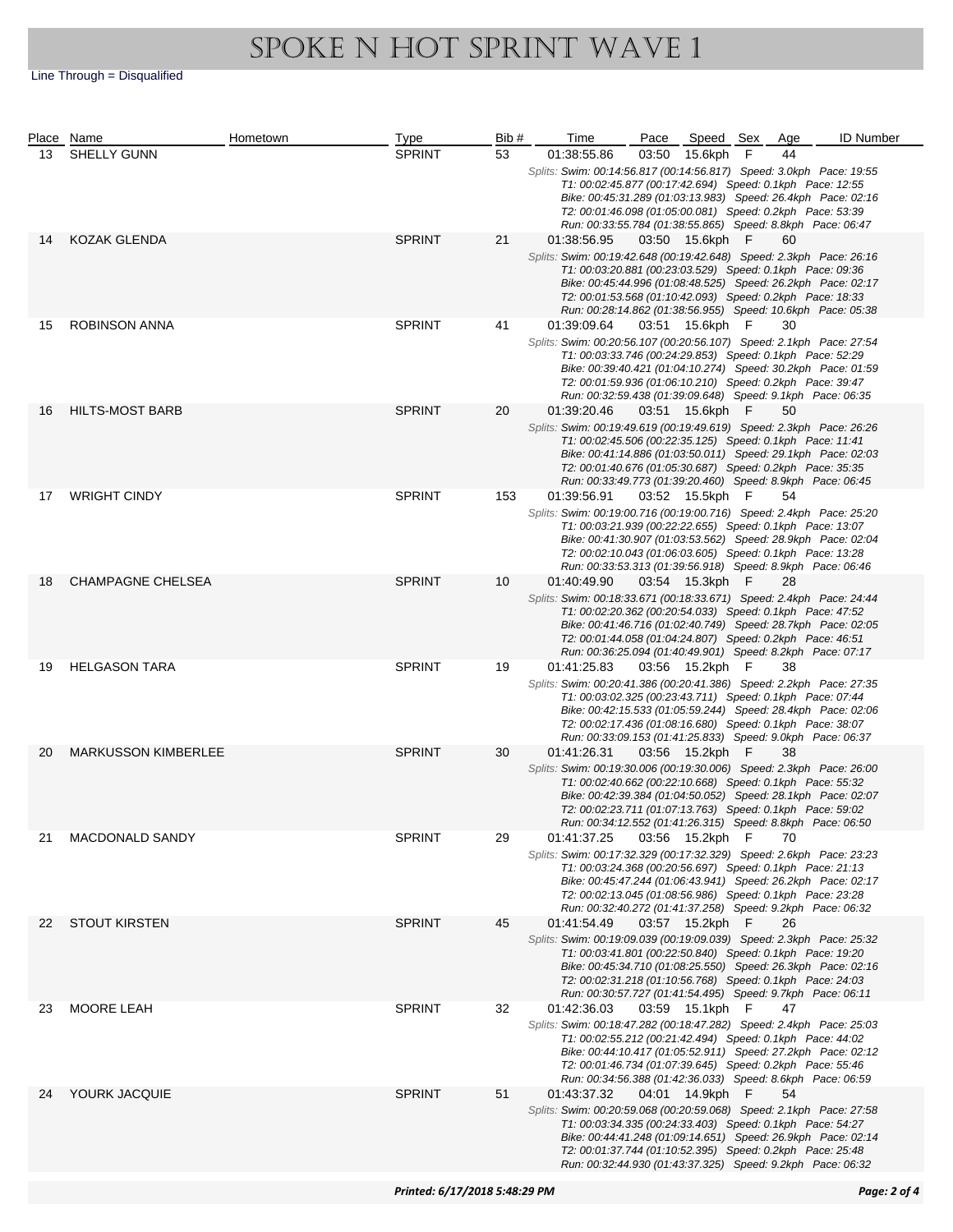|    | Place Name                 | Hometown      | <b>Type</b>         | Bib#                                                         | Time                                                                                                                             | Pace  | Speed Sex       |             | Age                                                          | <b>ID Number</b>                                             |
|----|----------------------------|---------------|---------------------|--------------------------------------------------------------|----------------------------------------------------------------------------------------------------------------------------------|-------|-----------------|-------------|--------------------------------------------------------------|--------------------------------------------------------------|
| 13 | <b>SHELLY GUNN</b>         |               | <b>SPRINT</b>       | 53                                                           | 01:38:55.86                                                                                                                      | 03:50 | 15.6kph         | $\mathsf F$ | 44                                                           |                                                              |
|    |                            |               |                     |                                                              | Splits: Swim: 00:14:56.817 (00:14:56.817) Speed: 3.0kph Pace: 19:55                                                              |       |                 |             |                                                              |                                                              |
|    |                            |               |                     |                                                              | T1: 00:02:45.877 (00:17:42.694) Speed: 0.1kph Pace: 12:55                                                                        |       |                 |             |                                                              |                                                              |
|    |                            |               |                     |                                                              |                                                                                                                                  |       |                 |             |                                                              | Bike: 00:45:31.289 (01:03:13.983) Speed: 26.4kph Pace: 02:16 |
|    |                            |               |                     |                                                              | T2: 00:01:46.098 (01:05:00.081) Speed: 0.2kph Pace: 53:39<br>Run: 00:33:55.784 (01:38:55.865) Speed: 8.8kph Pace: 06:47          |       |                 |             |                                                              |                                                              |
| 14 | KOZAK GLENDA               |               | <b>SPRINT</b>       | 21                                                           | 01:38:56.95                                                                                                                      |       | 03:50 15.6kph F |             | 60                                                           |                                                              |
|    |                            |               |                     |                                                              | Splits: Swim: 00:19:42.648 (00:19:42.648) Speed: 2.3kph Pace: 26:16                                                              |       |                 |             |                                                              |                                                              |
|    |                            |               |                     |                                                              | T1: 00:03:20.881 (00:23:03.529) Speed: 0.1kph Pace: 09:36                                                                        |       |                 |             |                                                              |                                                              |
|    |                            |               |                     |                                                              | Bike: 00:45:44.996 (01:08:48.525) Speed: 26.2kph Pace: 02:17                                                                     |       |                 |             |                                                              |                                                              |
|    |                            |               |                     |                                                              | T2: 00:01:53.568 (01:10:42.093) Speed: 0.2kph Pace: 18:33                                                                        |       |                 |             |                                                              |                                                              |
|    |                            |               |                     |                                                              | Run: 00:28:14.862 (01:38:56.955) Speed: 10.6kph Pace: 05:38                                                                      |       |                 |             |                                                              |                                                              |
| 15 | ROBINSON ANNA              |               | <b>SPRINT</b>       | 41                                                           | 01:39:09.64                                                                                                                      |       | 03:51 15.6kph F |             | 30                                                           |                                                              |
|    |                            |               |                     |                                                              | Splits: Swim: 00:20:56.107 (00:20:56.107) Speed: 2.1kph Pace: 27:54                                                              |       |                 |             |                                                              |                                                              |
|    |                            |               |                     |                                                              | T1: 00:03:33.746 (00:24:29.853) Speed: 0.1kph Pace: 52:29                                                                        |       |                 |             |                                                              | Bike: 00:39:40.421 (01:04:10.274) Speed: 30.2kph Pace: 01:59 |
|    |                            |               |                     |                                                              | T2: 00:01:59.936 (01:06:10.210) Speed: 0.2kph Pace: 39:47                                                                        |       |                 |             |                                                              |                                                              |
|    |                            |               |                     |                                                              | Run: 00:32:59.438 (01:39:09.648) Speed: 9.1kph Pace: 06:35                                                                       |       |                 |             |                                                              |                                                              |
| 16 | <b>HILTS-MOST BARB</b>     |               | <b>SPRINT</b>       | 20                                                           | 01:39:20.46                                                                                                                      |       | 03:51 15.6kph F |             | 50                                                           |                                                              |
|    |                            |               |                     |                                                              | Splits: Swim: 00:19:49.619 (00:19:49.619) Speed: 2.3kph Pace: 26:26                                                              |       |                 |             |                                                              |                                                              |
|    |                            |               |                     |                                                              | T1: 00:02:45.506 (00:22:35.125) Speed: 0.1kph Pace: 11:41                                                                        |       |                 |             |                                                              |                                                              |
|    |                            |               |                     |                                                              |                                                                                                                                  |       |                 |             |                                                              | Bike: 00:41:14.886 (01:03:50.011) Speed: 29.1kph Pace: 02:03 |
|    |                            |               |                     |                                                              | T2: 00:01:40.676 (01:05:30.687) Speed: 0.2kph Pace: 35:35<br>Run: 00:33:49.773 (01:39:20.460) Speed: 8.9kph Pace: 06:45          |       |                 |             |                                                              |                                                              |
| 17 | <b>WRIGHT CINDY</b>        |               | <b>SPRINT</b>       | 153                                                          | 01:39:56.91                                                                                                                      |       | 03:52 15.5kph F |             | 54                                                           |                                                              |
|    |                            |               |                     |                                                              | Splits: Swim: 00:19:00.716 (00:19:00.716) Speed: 2.4kph Pace: 25:20                                                              |       |                 |             |                                                              |                                                              |
|    |                            |               |                     |                                                              | T1: 00:03:21.939 (00:22:22.655) Speed: 0.1kph Pace: 13:07                                                                        |       |                 |             |                                                              |                                                              |
|    |                            |               |                     | Bike: 00:41:30.907 (01:03:53.562) Speed: 28.9kph Pace: 02:04 |                                                                                                                                  |       |                 |             |                                                              |                                                              |
|    |                            |               |                     |                                                              | T2: 00:02:10.043 (01:06:03.605) Speed: 0.1kph Pace: 13:28                                                                        |       |                 |             |                                                              |                                                              |
| 18 |                            |               |                     |                                                              | Run: 00:33:53.313 (01:39:56.918) Speed: 8.9kph Pace: 06:46                                                                       |       |                 |             |                                                              |                                                              |
|    | <b>CHAMPAGNE CHELSEA</b>   |               | <b>SPRINT</b>       | 10                                                           | 01:40:49.90                                                                                                                      |       | 03:54 15.3kph F |             | 28                                                           |                                                              |
|    |                            |               |                     |                                                              | Splits: Swim: 00:18:33.671 (00:18:33.671) Speed: 2.4kph Pace: 24:44<br>T1: 00:02:20.362 (00:20:54.033) Speed: 0.1kph Pace: 47:52 |       |                 |             |                                                              |                                                              |
|    |                            |               |                     |                                                              |                                                                                                                                  |       |                 |             |                                                              | Bike: 00:41:46.716 (01:02:40.749) Speed: 28.7kph Pace: 02:05 |
|    |                            |               |                     |                                                              | T2: 00:01:44.058 (01:04:24.807) Speed: 0.2kph Pace: 46:51                                                                        |       |                 |             |                                                              |                                                              |
|    |                            |               |                     |                                                              | Run: 00:36:25.094 (01:40:49.901) Speed: 8.2kph Pace: 07:17                                                                       |       |                 |             |                                                              |                                                              |
| 19 | <b>HELGASON TARA</b>       |               | <b>SPRINT</b>       | 19                                                           | 01:41:25.83                                                                                                                      |       | 03:56 15.2kph F |             | 38                                                           |                                                              |
|    |                            |               |                     |                                                              | Splits: Swim: 00:20:41.386 (00:20:41.386) Speed: 2.2kph Pace: 27:35                                                              |       |                 |             |                                                              |                                                              |
|    |                            |               |                     |                                                              | T1: 00:03:02.325 (00:23:43.711) Speed: 0.1kph Pace: 07:44                                                                        |       |                 |             |                                                              | Bike: 00:42:15.533 (01:05:59.244) Speed: 28.4kph Pace: 02:06 |
|    |                            |               |                     |                                                              | T2: 00:02:17.436 (01:08:16.680) Speed: 0.1kph Pace: 38:07                                                                        |       |                 |             |                                                              |                                                              |
|    |                            |               |                     |                                                              | Run: 00:33:09.153 (01:41:25.833) Speed: 9.0kph Pace: 06:37                                                                       |       |                 |             |                                                              |                                                              |
| 20 | <b>MARKUSSON KIMBERLEE</b> |               | <b>SPRINT</b>       | 30                                                           | 01:41:26.31                                                                                                                      |       | 03:56 15.2kph F |             | 38                                                           |                                                              |
|    |                            |               |                     |                                                              | Splits: Swim: 00:19:30.006 (00:19:30.006) Speed: 2.3kph Pace: 26:00                                                              |       |                 |             |                                                              |                                                              |
|    |                            |               |                     |                                                              | T1: 00:02:40.662 (00:22:10.668) Speed: 0.1kph Pace: 55:32                                                                        |       |                 |             |                                                              |                                                              |
|    |                            |               |                     |                                                              | T2: 00:02:23.711 (01:07:13.763) Speed: 0.1kph Pace: 59:02                                                                        |       |                 |             |                                                              | Bike: 00:42:39.384 (01:04:50.052) Speed: 28.1kph Pace: 02:07 |
|    |                            |               |                     |                                                              | Run: 00:34:12.552 (01:41:26.315) Speed: 8.8kph Pace: 06:50                                                                       |       |                 |             |                                                              |                                                              |
| 21 | <b>MACDONALD SANDY</b>     |               | <b>SPRINT</b><br>29 |                                                              | 01:41:37.25                                                                                                                      |       | 03:56 15.2kph F |             | 70                                                           |                                                              |
|    |                            |               |                     |                                                              | Splits: Swim: 00:17:32.329 (00:17:32.329) Speed: 2.6kph Pace: 23:23                                                              |       |                 |             |                                                              |                                                              |
|    |                            |               |                     |                                                              | T1: 00:03:24.368 (00:20:56.697) Speed: 0.1kph Pace: 21:13                                                                        |       |                 |             |                                                              |                                                              |
|    |                            |               |                     |                                                              |                                                                                                                                  |       |                 |             |                                                              | Bike: 00:45:47.244 (01:06:43.941) Speed: 26.2kph Pace: 02:17 |
|    |                            |               |                     |                                                              | T2: 00:02:13.045 (01:08:56.986) Speed: 0.1kph Pace: 23:28<br>Run: 00:32:40.272 (01:41:37.258) Speed: 9.2kph Pace: 06:32          |       |                 |             |                                                              |                                                              |
| 22 | <b>STOUT KIRSTEN</b>       |               | <b>SPRINT</b>       | 45                                                           | 01:41:54.49                                                                                                                      |       | 03:57 15.2kph F |             | 26                                                           |                                                              |
|    |                            |               |                     |                                                              | Splits: Swim: 00:19:09.039 (00:19:09.039) Speed: 2.3kph Pace: 25:32                                                              |       |                 |             |                                                              |                                                              |
|    |                            |               |                     |                                                              | T1: 00:03:41.801 (00:22:50.840) Speed: 0.1kph Pace: 19:20                                                                        |       |                 |             |                                                              |                                                              |
|    |                            |               |                     |                                                              |                                                                                                                                  |       |                 |             | Bike: 00:45:34.710 (01:08:25.550) Speed: 26.3kph Pace: 02:16 |                                                              |
|    |                            |               |                     | T2: 00:02:31.218 (01:10:56.768) Speed: 0.1kph Pace: 24:03    |                                                                                                                                  |       |                 |             |                                                              |                                                              |
|    |                            |               |                     |                                                              | Run: 00:30:57.727 (01:41:54.495) Speed: 9.7kph Pace: 06:11                                                                       |       |                 |             |                                                              |                                                              |
| 23 | <b>MOORE LEAH</b>          |               | <b>SPRINT</b>       | 32                                                           | 01:42:36.03                                                                                                                      |       | 03:59 15.1kph F |             | 47                                                           |                                                              |
|    |                            |               |                     |                                                              | Splits: Swim: 00:18:47.282 (00:18:47.282) Speed: 2.4kph Pace: 25:03<br>T1: 00:02:55.212 (00:21:42.494) Speed: 0.1kph Pace: 44:02 |       |                 |             |                                                              |                                                              |
|    |                            |               |                     |                                                              |                                                                                                                                  |       |                 |             |                                                              | Bike: 00:44:10.417 (01:05:52.911) Speed: 27.2kph Pace: 02:12 |
|    |                            |               |                     |                                                              | T2: 00:01:46.734 (01:07:39.645) Speed: 0.2kph Pace: 55:46                                                                        |       |                 |             |                                                              |                                                              |
|    |                            |               |                     |                                                              | Run: 00:34:56.388 (01:42:36.033) Speed: 8.6kph Pace: 06:59                                                                       |       |                 |             |                                                              |                                                              |
| 24 | YOURK JACQUIE              | <b>SPRINT</b> |                     | 51                                                           | 01:43:37.32                                                                                                                      | 04:01 | 14.9kph F       |             | 54                                                           |                                                              |
|    |                            |               |                     |                                                              | Splits: Swim: 00:20:59.068 (00:20:59.068) Speed: 2.1kph Pace: 27:58                                                              |       |                 |             |                                                              |                                                              |
|    |                            |               |                     |                                                              | T1: 00:03:34.335 (00:24:33.403) Speed: 0.1kph Pace: 54:27                                                                        |       |                 |             |                                                              |                                                              |
|    |                            |               |                     |                                                              | T2: 00:01:37.744 (01:10:52.395) Speed: 0.2kph Pace: 25:48                                                                        |       |                 |             |                                                              | Bike: 00:44:41.248 (01:09:14.651) Speed: 26.9kph Pace: 02:14 |
|    |                            |               |                     |                                                              | Run: 00:32:44.930 (01:43:37.325) Speed: 9.2kph Pace: 06:32                                                                       |       |                 |             |                                                              |                                                              |
|    |                            |               |                     |                                                              |                                                                                                                                  |       |                 |             |                                                              |                                                              |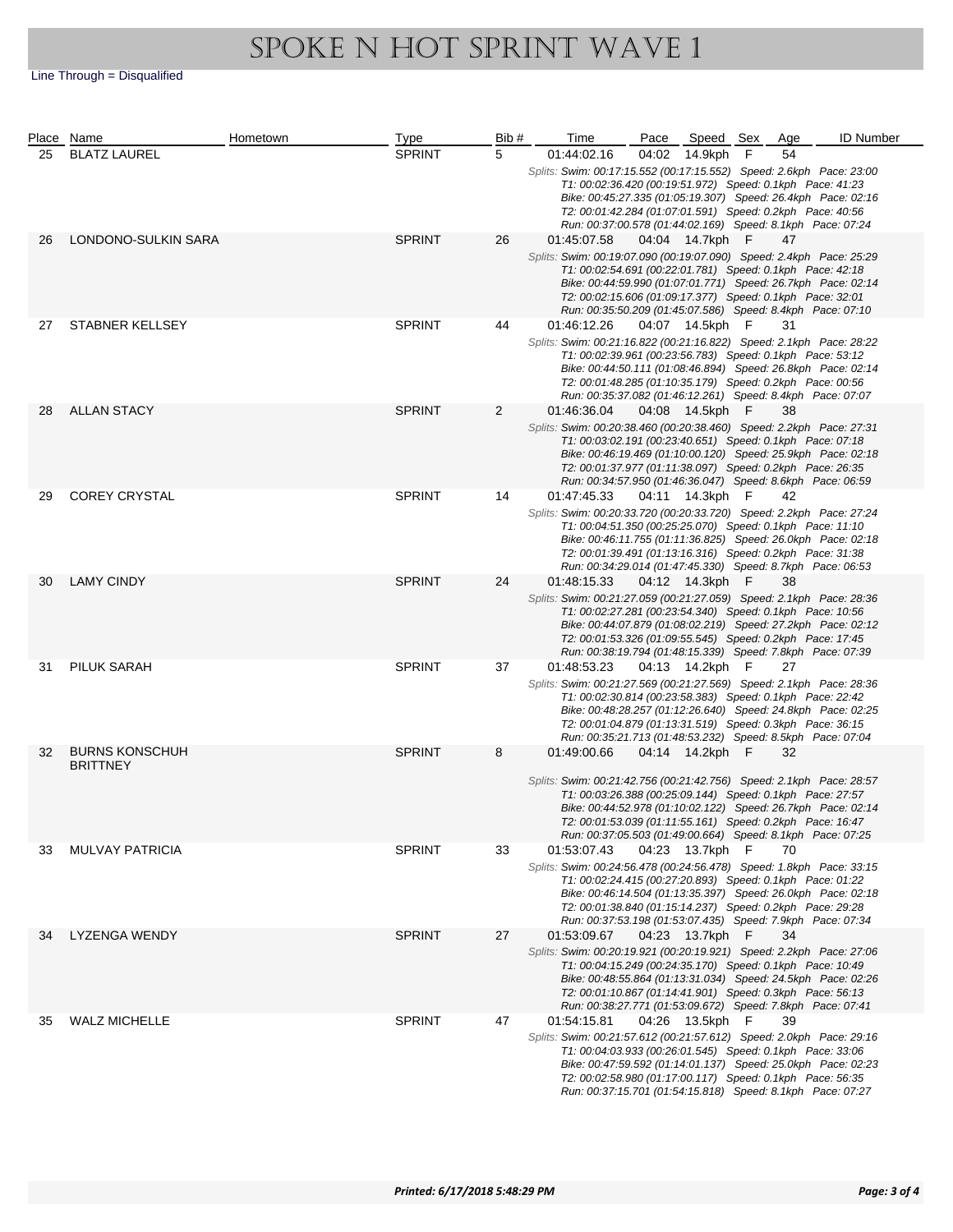|    | Place Name                               | Hometown | <b>Type</b>   | Bib#           | Time                                                                                                                                                                                                                                                                                                                                          | Pace  | Speed Sex       |             | Age | <b>ID Number</b> |
|----|------------------------------------------|----------|---------------|----------------|-----------------------------------------------------------------------------------------------------------------------------------------------------------------------------------------------------------------------------------------------------------------------------------------------------------------------------------------------|-------|-----------------|-------------|-----|------------------|
| 25 | <b>BLATZ LAUREL</b>                      |          | <b>SPRINT</b> | 5              | 01:44:02.16                                                                                                                                                                                                                                                                                                                                   | 04:02 | 14.9kph         | $\mathsf F$ | 54  |                  |
|    |                                          |          |               |                | Splits: Swim: 00:17:15.552 (00:17:15.552) Speed: 2.6kph Pace: 23:00<br>T1: 00:02:36.420 (00:19:51.972) Speed: 0.1kph Pace: 41:23<br>Bike: 00:45:27.335 (01:05:19.307) Speed: 26.4kph Pace: 02:16<br>T2: 00:01:42.284 (01:07:01.591) Speed: 0.2kph Pace: 40:56<br>Run: 00:37:00.578 (01:44:02.169) Speed: 8.1kph Pace: 07:24                   |       |                 |             |     |                  |
| 26 | LONDONO-SULKIN SARA                      |          | <b>SPRINT</b> | 26             | 01:45:07.58<br>Splits: Swim: 00:19:07.090 (00:19:07.090) Speed: 2.4kph Pace: 25:29<br>T1: 00:02:54.691 (00:22:01.781) Speed: 0.1kph Pace: 42:18<br>Bike: 00:44:59.990 (01:07:01.771) Speed: 26.7kph Pace: 02:14<br>T2: 00:02:15.606 (01:09:17.377) Speed: 0.1kph Pace: 32:01<br>Run: 00:35:50.209 (01:45:07.586) Speed: 8.4kph Pace: 07:10    |       | 04:04 14.7kph F |             | 47  |                  |
| 27 | STABNER KELLSEY                          |          | <b>SPRINT</b> | 44             | 01:46:12.26<br>Splits: Swim: 00:21:16.822 (00:21:16.822) Speed: 2.1kph Pace: 28:22<br>T1: 00:02:39.961 (00:23:56.783) Speed: 0.1kph Pace: 53:12<br>Bike: 00:44:50.111 (01:08:46.894) Speed: 26.8kph Pace: 02:14<br>T2: 00:01:48.285 (01:10:35.179) Speed: 0.2kph Pace: 00:56<br>Run: 00:35:37.082 (01:46:12.261) Speed: 8.4kph Pace: 07:07    |       | 04:07 14.5kph F |             | 31  |                  |
| 28 | <b>ALLAN STACY</b>                       |          | <b>SPRINT</b> | $\overline{2}$ | 01:46:36.04<br>Splits: Swim: 00:20:38.460 (00:20:38.460) Speed: 2.2kph Pace: 27:31<br>T1: 00:03:02.191 (00:23:40.651) Speed: 0.1kph Pace: 07:18<br>Bike: 00:46:19.469 (01:10:00.120) Speed: 25.9kph Pace: 02:18<br>T2: 00:01:37.977 (01:11:38.097) Speed: 0.2kph Pace: 26:35<br>Run: 00:34:57.950 (01:46:36.047) Speed: 8.6kph Pace: 06:59    |       | 04:08 14.5kph F |             | 38  |                  |
| 29 | <b>COREY CRYSTAL</b>                     |          | <b>SPRINT</b> | 14             | 01:47:45.33<br>Splits: Swim: 00:20:33.720 (00:20:33.720) Speed: 2.2kph Pace: 27:24<br>T1: 00:04:51.350 (00:25:25.070) Speed: 0.1kph Pace: 11:10<br>Bike: 00:46:11.755 (01:11:36.825) Speed: 26.0kph Pace: 02:18<br>T2: 00:01:39.491 (01:13:16.316) Speed: 0.2kph Pace: 31:38<br>Run: 00:34:29.014 (01:47:45.330) Speed: 8.7kph Pace: 06:53    |       | 04:11 14.3kph F |             | 42  |                  |
| 30 | <b>LAMY CINDY</b>                        |          | <b>SPRINT</b> | 24             | 01:48:15.33<br>Splits: Swim: 00:21:27.059 (00:21:27.059) Speed: 2.1kph Pace: 28:36<br>T1: 00:02:27.281 (00:23:54.340) Speed: 0.1kph Pace: 10:56<br>Bike: 00:44:07.879 (01:08:02.219) Speed: 27.2kph Pace: 02:12<br>T2: 00:01:53.326 (01:09:55.545) Speed: 0.2kph Pace: 17:45<br>Run: 00:38:19.794 (01:48:15.339) Speed: 7.8kph Pace: 07:39    |       | 04:12 14.3kph F |             | 38  |                  |
| 31 | PILUK SARAH                              |          | <b>SPRINT</b> | 37             | 01:48:53.23<br>Splits: Swim: 00:21:27.569 (00:21:27.569) Speed: 2.1kph Pace: 28:36<br>T1: 00:02:30.814 (00:23:58.383) Speed: 0.1kph Pace: 22:42<br>Bike: 00:48:28.257 (01:12:26.640) Speed: 24.8kph Pace: 02:25<br>T2: 00:01:04.879 (01:13:31.519) Speed: 0.3kph Pace: 36:15<br>Run: 00:35:21.713 (01:48:53.232) Speed: 8.5kph Pace: 07:04    |       | 04:13 14.2kph F |             | 27  |                  |
| 32 | <b>BURNS KONSCHUH</b><br><b>BRITTNEY</b> |          | <b>SPRINT</b> | 8              | 01:49:00.66<br>Splits: Swim: 00:21:42.756 (00:21:42.756) Speed: 2.1kph Pace: 28:57<br>T1: 00:03:26.388 (00:25:09.144) Speed: 0.1kph Pace: 27:57<br>Bike: 00:44:52.978 (01:10:02.122) Speed: 26.7kph Pace: 02:14<br>T2: 00:01:53.039 (01:11:55.161) Speed: 0.2kph Pace: 16:47<br>Run: 00:37:05.503 (01:49:00.664) Speed: 8.1kph Pace: 07:25    |       | 04:14 14.2kph F |             | 32  |                  |
| 33 | <b>MULVAY PATRICIA</b>                   |          | <b>SPRINT</b> | 33             | 01:53:07.43<br>Splits: Swim: 00:24:56.478 (00:24:56.478) Speed: 1.8kph Pace: 33:15<br>T1: 00:02:24.415 (00:27:20.893) Speed: 0.1kph Pace: 01:22<br>Bike: 00:46:14.504 (01:13:35.397) Speed: 26.0kph Pace: 02:18<br>T2: 00:01:38.840 (01:15:14.237) Speed: 0.2kph Pace: 29:28<br>Run: 00:37:53.198 (01:53:07.435) Speed: 7.9kph Pace: 07:34    |       | 04:23 13.7kph   | - F         | 70  |                  |
| 34 | LYZENGA WENDY                            |          | <b>SPRINT</b> | 27             | 01:53:09.67<br>Splits: Swim: 00:20:19.921 (00:20:19.921) Speed: 2.2kph    Pace: 27:06<br>T1: 00:04:15.249 (00:24:35.170) Speed: 0.1kph Pace: 10:49<br>Bike: 00:48:55.864 (01:13:31.034) Speed: 24.5kph Pace: 02:26<br>T2: 00:01:10.867 (01:14:41.901) Speed: 0.3kph Pace: 56:13<br>Run: 00:38:27.771 (01:53:09.672) Speed: 7.8kph Pace: 07:41 |       | 04:23 13.7kph F |             | 34  |                  |
| 35 | <b>WALZ MICHELLE</b>                     |          | <b>SPRINT</b> | 47             | 01:54:15.81<br>Splits: Swim: 00:21:57.612 (00:21:57.612) Speed: 2.0kph Pace: 29:16<br>T1: 00:04:03.933 (00:26:01.545) Speed: 0.1kph Pace: 33:06<br>Bike: 00:47:59.592 (01:14:01.137) Speed: 25.0kph Pace: 02:23<br>T2: 00:02:58.980 (01:17:00.117) Speed: 0.1kph Pace: 56:35<br>Run: 00:37:15.701 (01:54:15.818) Speed: 8.1kph Pace: 07:27    |       | 04:26 13.5kph F |             | 39  |                  |